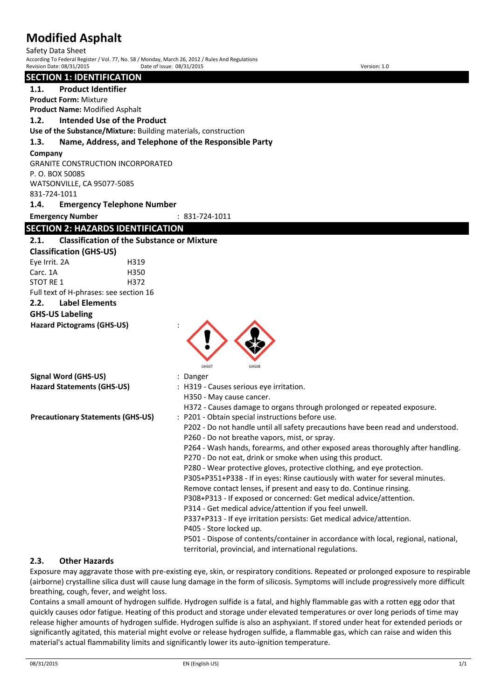Safety Data Sheet According To Federal Register / Vol. 77, No. 58 / Monday, March 26, 2012 / Rules And Regulations Revision Date: 08/31/2015 Date of issue: 08/31/2015 Version: 1.0

#### **SECTION 1: IDENTIFICATION**

**1.1. Product Identifier**

**Product Form:** Mixture

**Product Name:** Modified Asphalt

**1.2. Intended Use of the Product Use of the Substance/Mixture:** Building materials, construction

# **1.3. Name, Address, and Telephone of the Responsible Party**

#### **Company**

GRANITE CONSTRUCTION INCORPORATED P. O. BOX 50085 WATSONVILLE, CA 95077-5085 831-724-1011

**1.4. Emergency Telephone Number**

**Emergency Number** : 831-724-1011

# **SECTION 2: HAZARDS IDENTIFICATION**

## **2.1. Classification of the Substance or Mixture**

**Classification (GHS-US)** Eye Irrit. 2A H319 Carc. 1A H350 STOT RE 1 H372 Full text of H-phrases: see section 16

# **2.2. Label Elements**

# **GHS-US Labeling**

**Hazard Pictograms (GHS-US)** :



| <b>Signal Word (GHS-US)</b>              | : Danger                                                                           |
|------------------------------------------|------------------------------------------------------------------------------------|
| <b>Hazard Statements (GHS-US)</b>        | : H319 - Causes serious eye irritation.                                            |
|                                          | H350 - May cause cancer.                                                           |
|                                          | H372 - Causes damage to organs through prolonged or repeated exposure.             |
| <b>Precautionary Statements (GHS-US)</b> | : P201 - Obtain special instructions before use.                                   |
|                                          | P202 - Do not handle until all safety precautions have been read and understood.   |
|                                          | P260 - Do not breathe vapors, mist, or spray.                                      |
|                                          | P264 - Wash hands, forearms, and other exposed areas thoroughly after handling.    |
|                                          | P270 - Do not eat, drink or smoke when using this product.                         |
|                                          | P280 - Wear protective gloves, protective clothing, and eye protection.            |
|                                          | P305+P351+P338 - If in eyes: Rinse cautiously with water for several minutes.      |
|                                          | Remove contact lenses, if present and easy to do. Continue rinsing.                |
|                                          | P308+P313 - If exposed or concerned: Get medical advice/attention.                 |
|                                          | P314 - Get medical advice/attention if you feel unwell.                            |
|                                          | P337+P313 - If eye irritation persists: Get medical advice/attention.              |
|                                          | P405 - Store locked up.                                                            |
|                                          | P501 - Dispose of contents/container in accordance with local, regional, national, |
|                                          | territorial, provincial, and international regulations.                            |

### **2.3. Other Hazards**

Exposure may aggravate those with pre-existing eye, skin, or respiratory conditions. Repeated or prolonged exposure to respirable (airborne) crystalline silica dust will cause lung damage in the form of silicosis. Symptoms will include progressively more difficult breathing, cough, fever, and weight loss.

Contains a small amount of hydrogen sulfide. Hydrogen sulfide is a fatal, and highly flammable gas with a rotten egg odor that quickly causes odor fatigue. Heating of this product and storage under elevated temperatures or over long periods of time may release higher amounts of hydrogen sulfide. Hydrogen sulfide is also an asphyxiant. If stored under heat for extended periods or significantly agitated, this material might evolve or release hydrogen sulfide, a flammable gas, which can raise and widen this material's actual flammability limits and significantly lower its auto-ignition temperature.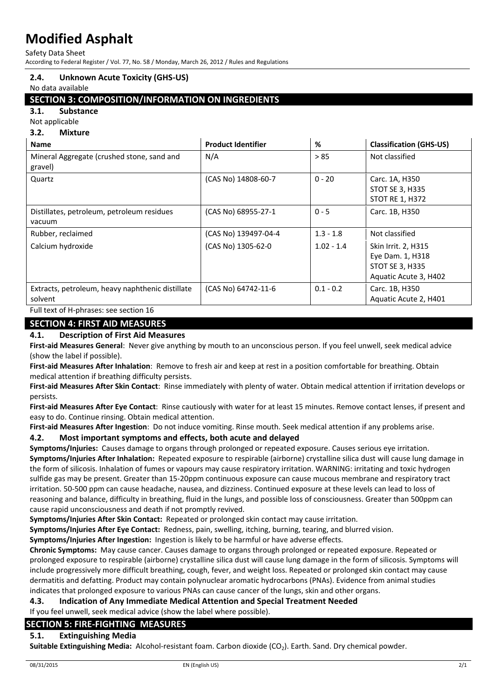Safety Data Sheet

According to Federal Register / Vol. 77, No. 58 / Monday, March 26, 2012 / Rules and Regulations

#### **2.4. Unknown Acute Toxicity (GHS-US)**

No data available

### **SECTION 3: COMPOSITION/INFORMATION ON INGREDIENTS**

**3.1. Substance**

Not applicable **3.2. Mixture**

| J.Z.<br><u>IVIIXLUI E</u>                                   |                           |              |                                                                                     |
|-------------------------------------------------------------|---------------------------|--------------|-------------------------------------------------------------------------------------|
| <b>Name</b>                                                 | <b>Product Identifier</b> | %            | <b>Classification (GHS-US)</b>                                                      |
| Mineral Aggregate (crushed stone, sand and<br>gravel)       | N/A                       | > 85         | Not classified                                                                      |
| Quartz                                                      | (CAS No) 14808-60-7       | $0 - 20$     | Carc. 1A, H350<br><b>STOT SE 3, H335</b><br><b>STOT RE 1, H372</b>                  |
| Distillates, petroleum, petroleum residues<br>vacuum        | (CAS No) 68955-27-1       | $0 - 5$      | Carc. 1B, H350                                                                      |
| Rubber, reclaimed                                           | (CAS No) 139497-04-4      | $1.3 - 1.8$  | Not classified                                                                      |
| Calcium hydroxide                                           | (CAS No) 1305-62-0        | $1.02 - 1.4$ | Skin Irrit. 2, H315<br>Eye Dam. 1, H318<br>STOT SE 3, H335<br>Aquatic Acute 3, H402 |
| Extracts, petroleum, heavy naphthenic distillate<br>solvent | (CAS No) 64742-11-6       | $0.1 - 0.2$  | Carc. 1B, H350<br>Aquatic Acute 2, H401                                             |
| Full text of H-phrases: see section 16                      |                           |              |                                                                                     |

# **SECTION 4: FIRST AID MEASURES**

#### **4.1. Description of First Aid Measures**

**First-aid Measures General**: Never give anything by mouth to an unconscious person. If you feel unwell, seek medical advice (show the label if possible).

**First-aid Measures After Inhalation**: Remove to fresh air and keep at rest in a position comfortable for breathing. Obtain medical attention if breathing difficulty persists.

**First-aid Measures After Skin Contact**: Rinse immediately with plenty of water. Obtain medical attention if irritation develops or persists.

**First-aid Measures After Eye Contact**: Rinse cautiously with water for at least 15 minutes. Remove contact lenses, if present and easy to do. Continue rinsing. Obtain medical attention.

**First-aid Measures After Ingestion**: Do not induce vomiting. Rinse mouth. Seek medical attention if any problems arise.

**4.2. Most important symptoms and effects, both acute and delayed**

**Symptoms/Injuries:** Causes damage to organs through prolonged or repeated exposure. Causes serious eye irritation. **Symptoms/Injuries After Inhalation:** Repeated exposure to respirable (airborne) crystalline silica dust will cause lung damage in the form of silicosis. Inhalation of fumes or vapours may cause respiratory irritation. WARNING: irritating and toxic hydrogen sulfide gas may be present. Greater than 15-20ppm continuous exposure can cause mucous membrane and respiratory tract irritation. 50-500 ppm can cause headache, nausea, and dizziness. Continued exposure at these levels can lead to loss of reasoning and balance, difficulty in breathing, fluid in the lungs, and possible loss of consciousness. Greater than 500ppm can cause rapid unconsciousness and death if not promptly revived.

**Symptoms/Injuries After Skin Contact:** Repeated or prolonged skin contact may cause irritation.

**Symptoms/Injuries After Eye Contact:** Redness, pain, swelling, itching, burning, tearing, and blurred vision.

**Symptoms/Injuries After Ingestion:** Ingestion is likely to be harmful or have adverse effects.

**Chronic Symptoms:** May cause cancer. Causes damage to organs through prolonged or repeated exposure. Repeated or prolonged exposure to respirable (airborne) crystalline silica dust will cause lung damage in the form of silicosis. Symptoms will include progressively more difficult breathing, cough, fever, and weight loss. Repeated or prolonged skin contact may cause dermatitis and defatting. Product may contain polynuclear aromatic hydrocarbons (PNAs). Evidence from animal studies indicates that prolonged exposure to various PNAs can cause cancer of the lungs, skin and other organs.

### **4.3. Indication of Any Immediate Medical Attention and Special Treatment Needed**

If you feel unwell, seek medical advice (show the label where possible).

## **SECTION 5: FIRE-FIGHTING MEASURES**

### **5.1. Extinguishing Media**

**Suitable Extinguishing Media:** Alcohol-resistant foam. Carbon dioxide (CO<sub>2</sub>). Earth. Sand. Dry chemical powder.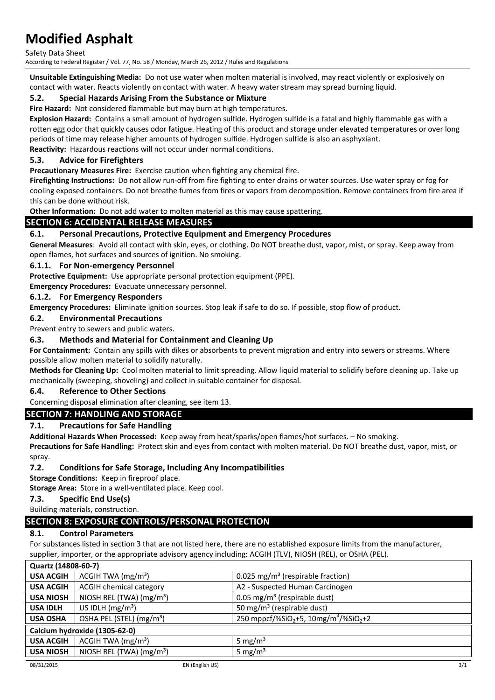Safety Data Sheet

According to Federal Register / Vol. 77, No. 58 / Monday, March 26, 2012 / Rules and Regulations

**Unsuitable Extinguishing Media:** Do not use water when molten material is involved, may react violently or explosively on contact with water. Reacts violently on contact with water. A heavy water stream may spread burning liquid.

## **5.2. Special Hazards Arising From the Substance or Mixture**

**Fire Hazard:** Not considered flammable but may burn at high temperatures.

**Explosion Hazard:** Contains a small amount of hydrogen sulfide. Hydrogen sulfide is a fatal and highly flammable gas with a rotten egg odor that quickly causes odor fatigue. Heating of this product and storage under elevated temperatures or over long periods of time may release higher amounts of hydrogen sulfide. Hydrogen sulfide is also an asphyxiant.

**Reactivity:** Hazardous reactions will not occur under normal conditions.

### **5.3. Advice for Firefighters**

**Precautionary Measures Fire:** Exercise caution when fighting any chemical fire.

**Firefighting Instructions:** Do not allow run-off from fire fighting to enter drains or water sources. Use water spray or fog for cooling exposed containers. Do not breathe fumes from fires or vapors from decomposition. Remove containers from fire area if this can be done without risk.

**Other Information:** Do not add water to molten material as this may cause spattering.

## **SECTION 6: ACCIDENTAL RELEASE MEASURES**

### **6.1. Personal Precautions, Protective Equipment and Emergency Procedures**

**General Measures**: Avoid all contact with skin, eyes, or clothing. Do NOT breathe dust, vapor, mist, or spray. Keep away from open flames, hot surfaces and sources of ignition. No smoking.

#### **6.1.1. For Non-emergency Personnel**

**Protective Equipment:** Use appropriate personal protection equipment (PPE).

**Emergency Procedures:** Evacuate unnecessary personnel.

#### **6.1.2. For Emergency Responders**

**Emergency Procedures:** Eliminate ignition sources. Stop leak if safe to do so. If possible, stop flow of product.

**6.2. Environmental Precautions**

Prevent entry to sewers and public waters.

### **6.3. Methods and Material for Containment and Cleaning Up**

**For Containment:** Contain any spills with dikes or absorbents to prevent migration and entry into sewers or streams. Where possible allow molten material to solidify naturally.

**Methods for Cleaning Up:** Cool molten material to limit spreading. Allow liquid material to solidify before cleaning up. Take up mechanically (sweeping, shoveling) and collect in suitable container for disposal.

#### **6.4. Reference to Other Sections**

Concerning disposal elimination after cleaning, see item 13.

### **SECTION 7: HANDLING AND STORAGE**

### **7.1. Precautions for Safe Handling**

**Additional Hazards When Processed:** Keep away from heat/sparks/open flames/hot surfaces. – No smoking.

**Precautions for Safe Handling:** Protect skin and eyes from contact with molten material. Do NOT breathe dust, vapor, mist, or spray.

### **7.2. Conditions for Safe Storage, Including Any Incompatibilities**

**Storage Conditions:** Keep in fireproof place.

**Storage Area:** Store in a well-ventilated place. Keep cool.

#### **7.3. Specific End Use(s)**

Building materials, construction.

### **SECTION 8: EXPOSURE CONTROLS/PERSONAL PROTECTION**

#### **8.1. Control Parameters**

For substances listed in section 3 that are not listed here, there are no established exposure limits from the manufacturer, supplier, importer, or the appropriate advisory agency including: ACGIH (TLV), NIOSH (REL), or OSHA (PEL).

| <b>USA ACGIH</b><br>ACGIH TWA $(mg/m3)$<br>0.025 mg/m <sup>3</sup> (respirable fraction)                                             |  |  |
|--------------------------------------------------------------------------------------------------------------------------------------|--|--|
|                                                                                                                                      |  |  |
| <b>ACGIH chemical category</b><br>A2 - Suspected Human Carcinogen<br><b>USA ACGIH</b>                                                |  |  |
| NIOSH REL (TWA) (mg/m <sup>3</sup> )<br>0.05 mg/m <sup>3</sup> (respirable dust)<br><b>USA NIOSH</b>                                 |  |  |
| US IDLH $(mg/m3)$<br>50 mg/m <sup>3</sup> (respirable dust)<br><b>USA IDLH</b>                                                       |  |  |
| 250 mppcf/%SiO <sub>2</sub> +5, 10mg/m <sup>3</sup> /%SiO <sub>2</sub> +2<br>OSHA PEL (STEL) (mg/m <sup>3</sup> )<br><b>USA OSHA</b> |  |  |
| Calcium hydroxide (1305-62-0)                                                                                                        |  |  |
| ACGIH TWA $(mg/m3)$<br>5 mg/ $m3$<br><b>USA ACGIH</b>                                                                                |  |  |
| NIOSH REL (TWA) $(mg/m3)$<br>5 mg/ $m3$<br><b>USA NIOSH</b>                                                                          |  |  |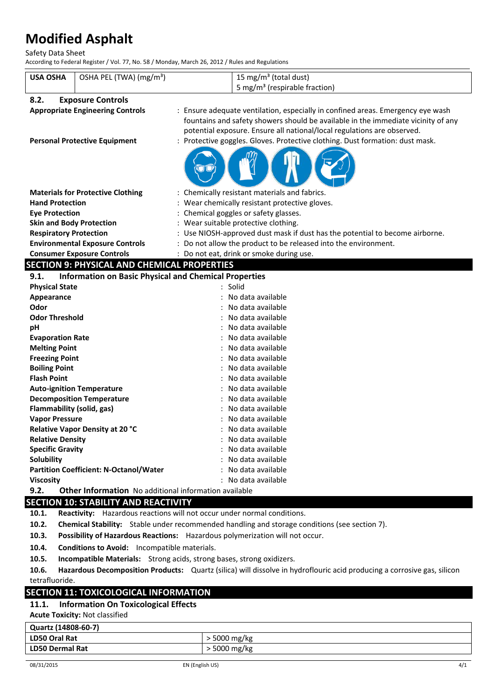Safety Data Sheet

According to Federal Register / Vol. 77, No. 58 / Monday, March 26, 2012 / Rules and Regulations

| <b>USA OSHA</b>                 | OSHA PEL (TWA) (mg/m <sup>3</sup> )                                                                     | 15 mg/m <sup>3</sup> (total dust)<br>5 mg/m <sup>3</sup> (respirable fraction)    |  |
|---------------------------------|---------------------------------------------------------------------------------------------------------|-----------------------------------------------------------------------------------|--|
|                                 |                                                                                                         |                                                                                   |  |
| 8.2.                            | <b>Exposure Controls</b>                                                                                |                                                                                   |  |
|                                 | <b>Appropriate Engineering Controls</b>                                                                 | : Ensure adequate ventilation, especially in confined areas. Emergency eye wash   |  |
|                                 |                                                                                                         | fountains and safety showers should be available in the immediate vicinity of any |  |
|                                 |                                                                                                         | potential exposure. Ensure all national/local regulations are observed.           |  |
|                                 | <b>Personal Protective Equipment</b>                                                                    | : Protective goggles. Gloves. Protective clothing. Dust formation: dust mask.     |  |
|                                 |                                                                                                         |                                                                                   |  |
|                                 | <b>Materials for Protective Clothing</b>                                                                | : Chemically resistant materials and fabrics.                                     |  |
| <b>Hand Protection</b>          |                                                                                                         | : Wear chemically resistant protective gloves.                                    |  |
| <b>Eye Protection</b>           |                                                                                                         | : Chemical goggles or safety glasses.                                             |  |
| <b>Skin and Body Protection</b> |                                                                                                         | : Wear suitable protective clothing.                                              |  |
| <b>Respiratory Protection</b>   |                                                                                                         | : Use NIOSH-approved dust mask if dust has the potential to become airborne.      |  |
|                                 | <b>Environmental Exposure Controls</b><br>Do not allow the product to be released into the environment. |                                                                                   |  |
|                                 | <b>Consumer Exposure Controls</b>                                                                       | : Do not eat, drink or smoke during use.                                          |  |
|                                 | <b>SECTION 9: PHYSICAL AND CHEMICAL PROPERTIES</b>                                                      |                                                                                   |  |
| 9.1.                            | <b>Information on Basic Physical and Chemical Properties</b>                                            |                                                                                   |  |
| <b>Physical State</b>           |                                                                                                         | $:$ Solid                                                                         |  |
| Appearance                      |                                                                                                         | No data available                                                                 |  |
| Odor                            |                                                                                                         | No data available                                                                 |  |
| <b>Odor Threshold</b>           |                                                                                                         | No data available                                                                 |  |
| pH                              |                                                                                                         | No data available                                                                 |  |
| <b>Evaporation Rate</b>         |                                                                                                         | No data available                                                                 |  |
| <b>Melting Point</b>            |                                                                                                         | No data available                                                                 |  |
| <b>Freezing Point</b>           |                                                                                                         | No data available                                                                 |  |
| <b>Boiling Point</b>            |                                                                                                         | No data available                                                                 |  |
| <b>Flash Point</b>              |                                                                                                         | No data available                                                                 |  |
|                                 | <b>Auto-ignition Temperature</b>                                                                        | No data available                                                                 |  |
|                                 | <b>Decomposition Temperature</b>                                                                        | No data available                                                                 |  |
| Flammability (solid, gas)       |                                                                                                         | No data available                                                                 |  |
| <b>Vapor Pressure</b>           |                                                                                                         | No data available                                                                 |  |
|                                 | Relative Vapor Density at 20 °C                                                                         | No data available                                                                 |  |
| <b>Relative Density</b>         |                                                                                                         | No data available                                                                 |  |
| <b>Specific Gravity</b>         |                                                                                                         | No data available                                                                 |  |
| Solubility                      |                                                                                                         | No data available                                                                 |  |

**Partition Coefficient: N-Octanol/Water** : No data available **Viscosity** : No data available

**9.2. Other Information** No additional information available

# **SECTION 10: STABILITY AND REACTIVITY**

**10.1. Reactivity:** Hazardous reactions will not occur under normal conditions.

**10.2. Chemical Stability:** Stable under recommended handling and storage conditions (see section 7).

- **10.3. Possibility of Hazardous Reactions:** Hazardous polymerization will not occur.
- **10.4. Conditions to Avoid:** Incompatible materials.

**10.5. Incompatible Materials:** Strong acids, strong bases, strong oxidizers.

**10.6. Hazardous Decomposition Products:** Quartz (silica) will dissolve in hydroflouric acid producing a corrosive gas, silicon tetrafluoride.

# **SECTION 11: TOXICOLOGICAL INFORMATION**

# **11.1. Information On Toxicological Effects**

**Acute Toxicity:** Not classified

| Quartz (14808-60-7)    |              |
|------------------------|--------------|
| <b>LD50 Oral Rat</b>   | 5000 mg/kg   |
| <b>LD50 Dermal Rat</b> | · 5000 mg/kg |
|                        |              |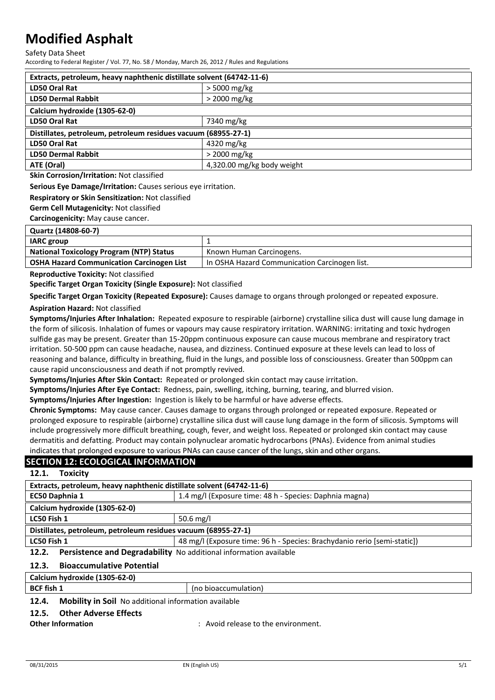Safety Data Sheet

According to Federal Register / Vol. 77, No. 58 / Monday, March 26, 2012 / Rules and Regulations

| Extracts, petroleum, heavy naphthenic distillate solvent (64742-11-6) |  |  |
|-----------------------------------------------------------------------|--|--|
| $>$ 5000 mg/kg                                                        |  |  |
| > 2000 mg/kg                                                          |  |  |
| Calcium hydroxide (1305-62-0)                                         |  |  |
| 7340 mg/kg                                                            |  |  |
| Distillates, petroleum, petroleum residues vacuum (68955-27-1)        |  |  |
| 4320 mg/kg                                                            |  |  |
| $>$ 2000 mg/kg                                                        |  |  |
| 4,320.00 mg/kg body weight                                            |  |  |
|                                                                       |  |  |

**Skin Corrosion/Irritation:** Not classified

**Serious Eye Damage/Irritation:** Causes serious eye irritation.

**Respiratory or Skin Sensitization:** Not classified

**Germ Cell Mutagenicity:** Not classified

**Carcinogenicity:** May cause cancer.

| Quartz (14808-60-7) |  |
|---------------------|--|
|---------------------|--|

| <b>IARC</b> group                                |                                               |  |
|--------------------------------------------------|-----------------------------------------------|--|
| <b>National Toxicology Program (NTP) Status</b>  | Known Human Carcinogens.                      |  |
| <b>OSHA Hazard Communication Carcinogen List</b> | In OSHA Hazard Communication Carcinogen list. |  |

**Reproductive Toxicity:** Not classified

**Specific Target Organ Toxicity (Single Exposure):** Not classified

**Specific Target Organ Toxicity (Repeated Exposure):** Causes damage to organs through prolonged or repeated exposure.

#### **Aspiration Hazard:** Not classified

**Symptoms/Injuries After Inhalation:** Repeated exposure to respirable (airborne) crystalline silica dust will cause lung damage in the form of silicosis. Inhalation of fumes or vapours may cause respiratory irritation. WARNING: irritating and toxic hydrogen sulfide gas may be present. Greater than 15-20ppm continuous exposure can cause mucous membrane and respiratory tract irritation. 50-500 ppm can cause headache, nausea, and dizziness. Continued exposure at these levels can lead to loss of reasoning and balance, difficulty in breathing, fluid in the lungs, and possible loss of consciousness. Greater than 500ppm can cause rapid unconsciousness and death if not promptly revived.

**Symptoms/Injuries After Skin Contact:** Repeated or prolonged skin contact may cause irritation.

**Symptoms/Injuries After Eye Contact:** Redness, pain, swelling, itching, burning, tearing, and blurred vision.

**Symptoms/Injuries After Ingestion:** Ingestion is likely to be harmful or have adverse effects.

**Chronic Symptoms:** May cause cancer. Causes damage to organs through prolonged or repeated exposure. Repeated or prolonged exposure to respirable (airborne) crystalline silica dust will cause lung damage in the form of silicosis. Symptoms will include progressively more difficult breathing, cough, fever, and weight loss. Repeated or prolonged skin contact may cause dermatitis and defatting. Product may contain polynuclear aromatic hydrocarbons (PNAs). Evidence from animal studies indicates that prolonged exposure to various PNAs can cause cancer of the lungs, skin and other organs.

### **SECTION 12: ECOLOGICAL INFORMATION**

#### **12.1. Toxicity**

| Extracts, petroleum, heavy naphthenic distillate solvent (64742-11-6)                   |                                                         |  |
|-----------------------------------------------------------------------------------------|---------------------------------------------------------|--|
| EC50 Daphnia 1                                                                          | 1.4 mg/l (Exposure time: 48 h - Species: Daphnia magna) |  |
| Calcium hydroxide (1305-62-0)                                                           |                                                         |  |
| LC50 Fish 1                                                                             | 50.6 mg/l                                               |  |
| Distillates, petroleum, petroleum residues vacuum (68955-27-1)                          |                                                         |  |
| LC50 Fish 1<br>48 mg/l (Exposure time: 96 h - Species: Brachydanio rerio [semi-static]) |                                                         |  |
| Persistence and Degradability No additional information available<br>12.2.              |                                                         |  |
| <b>Bioaccumulative Potential</b><br>12.3.                                               |                                                         |  |
| Calcium hydroxide (1305-62-0)                                                           |                                                         |  |
| <b>BCF</b> fish 1                                                                       | (no bioaccumulation)                                    |  |
| Mobility in Soil No additional information available<br>12 A                            |                                                         |  |

#### **12.4. Mobility in Soil** No additional information available

### **12.5. Other Adverse Effects**

**Other Information Community Community Community Community Community Community Community Community Community Community Community Community Community Community Community Community Community**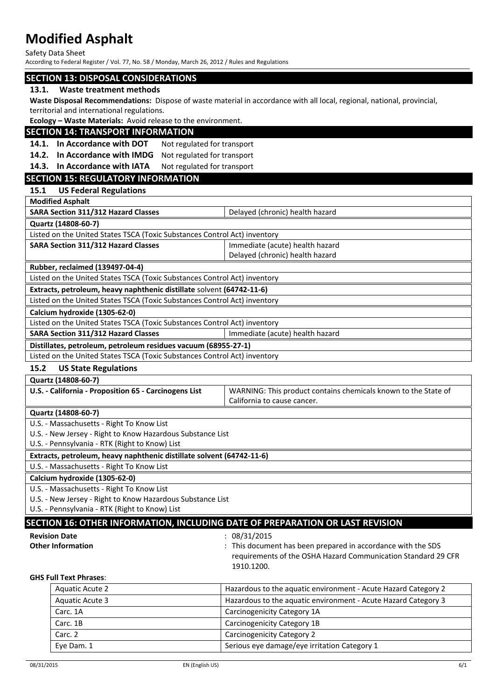Safety Data Sheet

According to Federal Register / Vol. 77, No. 58 / Monday, March 26, 2012 / Rules and Regulations

#### **SECTION 13: DISPOSAL CONSIDERATIONS**

#### **13.1. Waste treatment methods**

**Waste Disposal Recommendations:** Dispose of waste material in accordance with all local, regional, national, provincial, territorial and international regulations.

**Ecology – Waste Materials:** Avoid release to the environment.

### **SECTION 14: TRANSPORT INFORMATION**

14.1. In Accordance with DOT Not regulated for transport

**14.2. In Accordance with IMDG** Not regulated for transport

14.3. In Accordance with IATA Not regulated for transport

## **SECTION 15: REGULATORY INFORMATION**

**15.1 US Federal Regulations**

**Modified Asphalt**

| SARA Section 311/312 Hazard Classes                                       | Delayed (chronic) health hazard |  |
|---------------------------------------------------------------------------|---------------------------------|--|
| Quartz (14808-60-7)                                                       |                                 |  |
| Listed on the United States TSCA (Toxic Substances Control Act) inventory |                                 |  |
| SARA Section 311/312 Hazard Classes                                       | Immediate (acute) health hazard |  |
|                                                                           | Delayed (chronic) health hazard |  |
| <b>Rubber, reclaimed (139497-04-4)</b>                                    |                                 |  |
| Listed on the United States TSCA (Toxic Substances Control Act) inventory |                                 |  |
| Extracts, petroleum, heavy naphthenic distillate solvent (64742-11-6)     |                                 |  |
| Listed on the United States TSCA (Toxic Substances Control Act) inventory |                                 |  |
| Calcium hydroxide (1305-62-0)                                             |                                 |  |
| Listed on the United States TSCA (Toxic Substances Control Act) inventory |                                 |  |
| SARA Section 311/312 Hazard Classes                                       | Immediate (acute) health hazard |  |
| Distillates, petroleum, petroleum residues vacuum (68955-27-1)            |                                 |  |
| Listed on the United States TSCA (Toxic Substances Control Act) inventory |                                 |  |
|                                                                           |                                 |  |

#### **15.2 US State Regulations**

**Quartz (14808-60-7)**

| U.S. - California - Proposition 65 - Carcinogens List      | WARNING: This product contains chemicals known to the State of |  |
|------------------------------------------------------------|----------------------------------------------------------------|--|
|                                                            | California to cause cancer.                                    |  |
| Quartz (14808-60-7)                                        |                                                                |  |
| U.S. - Massachusetts - Right To Know List                  |                                                                |  |
| U.S. - New Jersey - Right to Know Hazardous Substance List |                                                                |  |

U.S. - Pennsylvania - RTK (Right to Know) List

**Extracts, petroleum, heavy naphthenic distillate solvent (64742-11-6)**

U.S. - Massachusetts - Right To Know List

**Calcium hydroxide (1305-62-0)**

U.S. - Massachusetts - Right To Know List

U.S. - New Jersey - Right to Know Hazardous Substance List

U.S. - Pennsylvania - RTK (Right to Know) List

| SECTION 16: OTHER INFORMATION, INCLUDING DATE OF PREPARATION OR LAST REVISION <b>\</b> |  |
|----------------------------------------------------------------------------------------|--|
|                                                                                        |  |

**Revision Date** : 08/31/2015

**Other Information Channel Exercise 3 and SUS CHANNEL 1. This document has been prepared in accordance with the SDS** requirements of the OSHA Hazard Communication Standard 29 CFR 1910.1200.

#### **GHS Full Text Phrases**:

| Aquatic Acute 2 | Hazardous to the aquatic environment - Acute Hazard Category 2 |
|-----------------|----------------------------------------------------------------|
| Aquatic Acute 3 | Hazardous to the aquatic environment - Acute Hazard Category 3 |
| Carc. 1A        | Carcinogenicity Category 1A                                    |
| Carc. 1B        | Carcinogenicity Category 1B                                    |
| Carc. 2         | <b>Carcinogenicity Category 2</b>                              |
| Eye Dam. 1      | Serious eye damage/eye irritation Category 1                   |